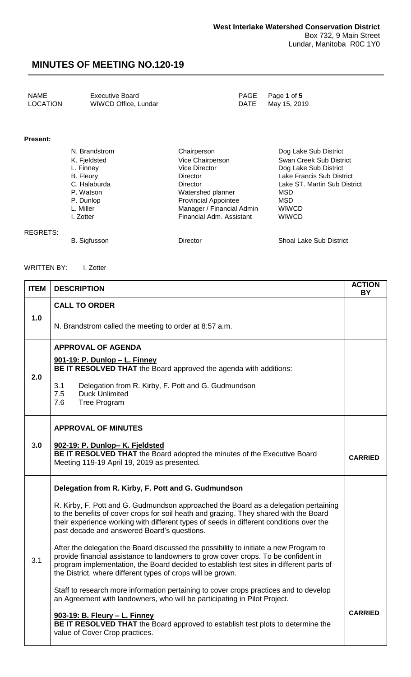| <b>NAME</b>     | <b>Executive Board</b> |      | PAGE Page 1 of 5 |
|-----------------|------------------------|------|------------------|
| <b>LOCATION</b> | WIWCD Office, Lundar   | DATE | May 15, 2019     |

#### **Present:**

| N. Brandstrom | Chairperson                 | Dog Lake Sub District        |
|---------------|-----------------------------|------------------------------|
| K. Fjeldsted  | Vice Chairperson            | Swan Creek Sub District      |
| L. Finney     | <b>Vice Director</b>        | Dog Lake Sub District        |
| B. Fleury     | Director                    | Lake Francis Sub District    |
| C. Halaburda  | <b>Director</b>             | Lake ST. Martin Sub District |
| P. Watson     | Watershed planner           | <b>MSD</b>                   |
| P. Dunlop     | <b>Provincial Appointee</b> | MSD                          |
| L. Miller     | Manager / Financial Admin   | <b>WIWCD</b>                 |
| I. Zotter     | Financial Adm. Assistant    | <b>WIWCD</b>                 |

#### REGRETS:

B. Sigfusson **Director** Director Shoal Lake Sub District

#### WRITTEN BY: I. Zotter

| <b>ITEM</b> | <b>DESCRIPTION</b>                                                                                                                                                                                                                                                                                                                    | <b>ACTION</b><br><b>BY</b> |
|-------------|---------------------------------------------------------------------------------------------------------------------------------------------------------------------------------------------------------------------------------------------------------------------------------------------------------------------------------------|----------------------------|
|             | <b>CALL TO ORDER</b>                                                                                                                                                                                                                                                                                                                  |                            |
| 1.0         | N. Brandstrom called the meeting to order at 8:57 a.m.                                                                                                                                                                                                                                                                                |                            |
|             | <b>APPROVAL OF AGENDA</b>                                                                                                                                                                                                                                                                                                             |                            |
| 2.0         | <u>901-19: P. Dunlop - L. Finney</u><br>BE IT RESOLVED THAT the Board approved the agenda with additions:                                                                                                                                                                                                                             |                            |
|             | 3.1<br>Delegation from R. Kirby, F. Pott and G. Gudmundson<br>7.5<br><b>Duck Unlimited</b><br>7.6<br><b>Tree Program</b>                                                                                                                                                                                                              |                            |
|             | <b>APPROVAL OF MINUTES</b>                                                                                                                                                                                                                                                                                                            |                            |
| 3.0         | 902-19: P. Dunlop- K. Fjeldsted<br>BE IT RESOLVED THAT the Board adopted the minutes of the Executive Board<br>Meeting 119-19 April 19, 2019 as presented.                                                                                                                                                                            | <b>CARRIED</b>             |
|             | Delegation from R. Kirby, F. Pott and G. Gudmundson                                                                                                                                                                                                                                                                                   |                            |
| 3.1         | R. Kirby, F. Pott and G. Gudmundson approached the Board as a delegation pertaining<br>to the benefits of cover crops for soil heath and grazing. They shared with the Board<br>their experience working with different types of seeds in different conditions over the<br>past decade and answered Board's questions.                |                            |
|             | After the delegation the Board discussed the possibility to initiate a new Program to<br>provide financial assistance to landowners to grow cover crops. To be confident in<br>program implementation, the Board decided to establish test sites in different parts of<br>the District, where different types of crops will be grown. |                            |
|             | Staff to research more information pertaining to cover crops practices and to develop<br>an Agreement with landowners, who will be participating in Pilot Project.                                                                                                                                                                    |                            |
|             | 903-19: B. Fleury - L. Finney<br>BE IT RESOLVED THAT the Board approved to establish test plots to determine the<br>value of Cover Crop practices.                                                                                                                                                                                    | <b>CARRIED</b>             |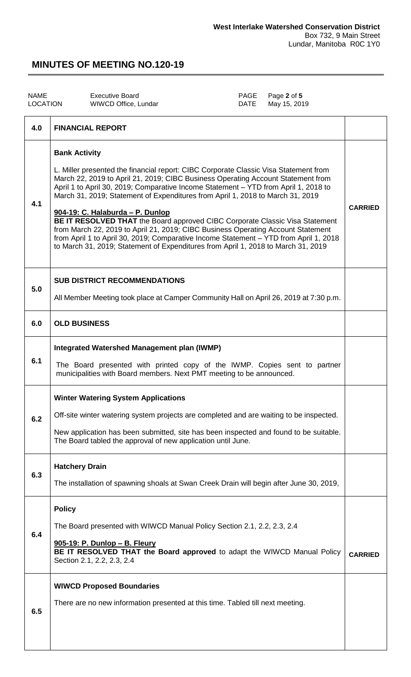| <b>NAME</b><br><b>LOCATION</b> | <b>Executive Board</b><br>PAGE<br>Page 2 of 5<br>May 15, 2019<br>WIWCD Office, Lundar<br><b>DATE</b>                                                                                                                                                                                                                                                                                                                                                                                                                                                                                                                                                                                                                                                            |                |
|--------------------------------|-----------------------------------------------------------------------------------------------------------------------------------------------------------------------------------------------------------------------------------------------------------------------------------------------------------------------------------------------------------------------------------------------------------------------------------------------------------------------------------------------------------------------------------------------------------------------------------------------------------------------------------------------------------------------------------------------------------------------------------------------------------------|----------------|
| 4.0                            | <b>FINANCIAL REPORT</b>                                                                                                                                                                                                                                                                                                                                                                                                                                                                                                                                                                                                                                                                                                                                         |                |
| 4.1                            | <b>Bank Activity</b><br>L. Miller presented the financial report: CIBC Corporate Classic Visa Statement from<br>March 22, 2019 to April 21, 2019; CIBC Business Operating Account Statement from<br>April 1 to April 30, 2019; Comparative Income Statement - YTD from April 1, 2018 to<br>March 31, 2019; Statement of Expenditures from April 1, 2018 to March 31, 2019<br>904-19: C. Halaburda - P. Dunlop<br>BE IT RESOLVED THAT the Board approved CIBC Corporate Classic Visa Statement<br>from March 22, 2019 to April 21, 2019; CIBC Business Operating Account Statement<br>from April 1 to April 30, 2019; Comparative Income Statement - YTD from April 1, 2018<br>to March 31, 2019; Statement of Expenditures from April 1, 2018 to March 31, 2019 | <b>CARRIED</b> |
| 5.0                            | <b>SUB DISTRICT RECOMMENDATIONS</b><br>All Member Meeting took place at Camper Community Hall on April 26, 2019 at 7:30 p.m.                                                                                                                                                                                                                                                                                                                                                                                                                                                                                                                                                                                                                                    |                |
| 6.0                            | <b>OLD BUSINESS</b>                                                                                                                                                                                                                                                                                                                                                                                                                                                                                                                                                                                                                                                                                                                                             |                |
| 6.1                            | <b>Integrated Watershed Management plan (IWMP)</b><br>The Board presented with printed copy of the IWMP. Copies sent to partner<br>municipalities with Board members. Next PMT meeting to be announced.                                                                                                                                                                                                                                                                                                                                                                                                                                                                                                                                                         |                |
| 6.2                            | <b>Winter Watering System Applications</b><br>Off-site winter watering system projects are completed and are waiting to be inspected.<br>New application has been submitted, site has been inspected and found to be suitable.<br>The Board tabled the approval of new application until June.                                                                                                                                                                                                                                                                                                                                                                                                                                                                  |                |
| 6.3                            | <b>Hatchery Drain</b><br>The installation of spawning shoals at Swan Creek Drain will begin after June 30, 2019,                                                                                                                                                                                                                                                                                                                                                                                                                                                                                                                                                                                                                                                |                |
| 6.4                            | <b>Policy</b><br>The Board presented with WIWCD Manual Policy Section 2.1, 2.2, 2.3, 2.4<br>905-19: P. Dunlop - B. Fleury<br>BE IT RESOLVED THAT the Board approved to adapt the WIWCD Manual Policy<br>Section 2.1, 2.2, 2.3, 2.4                                                                                                                                                                                                                                                                                                                                                                                                                                                                                                                              | <b>CARRIED</b> |
| 6.5                            | <b>WIWCD Proposed Boundaries</b><br>There are no new information presented at this time. Tabled till next meeting.                                                                                                                                                                                                                                                                                                                                                                                                                                                                                                                                                                                                                                              |                |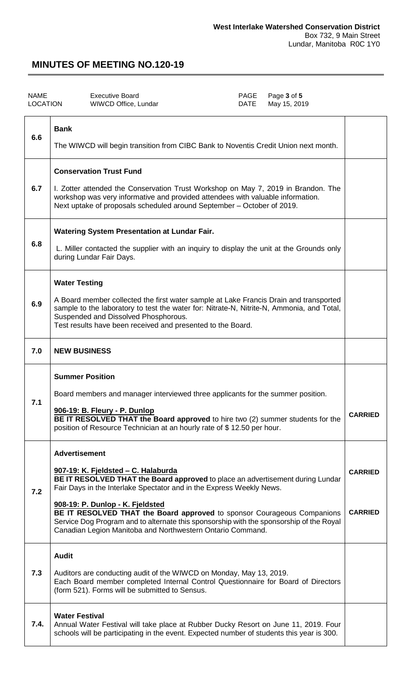| <b>NAME</b><br><b>LOCATION</b> | <b>Executive Board</b><br>PAGE<br>Page 3 of 5<br><b>DATE</b><br>WIWCD Office, Lundar<br>May 15, 2019                                                                                                                                                                                                                                                                                                                                                                                          |                                  |
|--------------------------------|-----------------------------------------------------------------------------------------------------------------------------------------------------------------------------------------------------------------------------------------------------------------------------------------------------------------------------------------------------------------------------------------------------------------------------------------------------------------------------------------------|----------------------------------|
| 6.6                            | <b>Bank</b><br>The WIWCD will begin transition from CIBC Bank to Noventis Credit Union next month.                                                                                                                                                                                                                                                                                                                                                                                            |                                  |
| 6.7                            | <b>Conservation Trust Fund</b><br>I. Zotter attended the Conservation Trust Workshop on May 7, 2019 in Brandon. The<br>workshop was very informative and provided attendees with valuable information.<br>Next uptake of proposals scheduled around September - October of 2019.                                                                                                                                                                                                              |                                  |
| 6.8                            | Watering System Presentation at Lundar Fair.<br>L. Miller contacted the supplier with an inquiry to display the unit at the Grounds only<br>during Lundar Fair Days.                                                                                                                                                                                                                                                                                                                          |                                  |
| 6.9                            | <b>Water Testing</b><br>A Board member collected the first water sample at Lake Francis Drain and transported<br>sample to the laboratory to test the water for: Nitrate-N, Nitrite-N, Ammonia, and Total,<br>Suspended and Dissolved Phosphorous.<br>Test results have been received and presented to the Board.                                                                                                                                                                             |                                  |
| 7.0                            | <b>NEW BUSINESS</b>                                                                                                                                                                                                                                                                                                                                                                                                                                                                           |                                  |
| 7.1                            | <b>Summer Position</b><br>Board members and manager interviewed three applicants for the summer position.<br>906-19: B. Fleury - P. Dunlop<br>BE IT RESOLVED THAT the Board approved to hire two (2) summer students for the<br>position of Resource Technician at an hourly rate of \$12.50 per hour.                                                                                                                                                                                        | <b>CARRIED</b>                   |
| 7.2                            | <b>Advertisement</b><br>907-19: K. Fjeldsted - C. Halaburda<br>BE IT RESOLVED THAT the Board approved to place an advertisement during Lundar<br>Fair Days in the Interlake Spectator and in the Express Weekly News.<br>908-19: P. Dunlop - K. Fjeldsted<br>BE IT RESOLVED THAT the Board approved to sponsor Courageous Companions<br>Service Dog Program and to alternate this sponsorship with the sponsorship of the Royal<br>Canadian Legion Manitoba and Northwestern Ontario Command. | <b>CARRIED</b><br><b>CARRIED</b> |
| 7.3                            | <b>Audit</b><br>Auditors are conducting audit of the WIWCD on Monday, May 13, 2019.<br>Each Board member completed Internal Control Questionnaire for Board of Directors<br>(form 521). Forms will be submitted to Sensus.                                                                                                                                                                                                                                                                    |                                  |
| 7.4.                           | <b>Water Festival</b><br>Annual Water Festival will take place at Rubber Ducky Resort on June 11, 2019. Four<br>schools will be participating in the event. Expected number of students this year is 300.                                                                                                                                                                                                                                                                                     |                                  |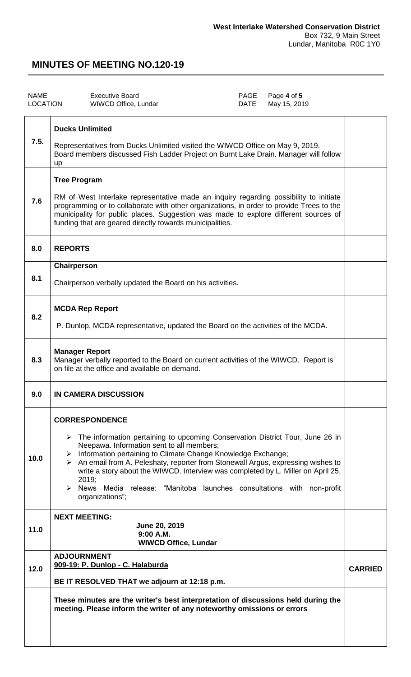| <b>NAME</b><br><b>LOCATION</b> | Page 4 of 5<br><b>Executive Board</b><br>PAGE<br>May 15, 2019<br>WIWCD Office, Lundar<br>DATE                                                                                                                                                                                                                                                                                                                                                                                                                                        |                |
|--------------------------------|--------------------------------------------------------------------------------------------------------------------------------------------------------------------------------------------------------------------------------------------------------------------------------------------------------------------------------------------------------------------------------------------------------------------------------------------------------------------------------------------------------------------------------------|----------------|
| 7.5.                           | <b>Ducks Unlimited</b><br>Representatives from Ducks Unlimited visited the WIWCD Office on May 9, 2019.<br>Board members discussed Fish Ladder Project on Burnt Lake Drain. Manager will follow<br>up                                                                                                                                                                                                                                                                                                                                |                |
| 7.6                            | <b>Tree Program</b><br>RM of West Interlake representative made an inquiry regarding possibility to initiate<br>programming or to collaborate with other organizations, in order to provide Trees to the<br>municipality for public places. Suggestion was made to explore different sources of<br>funding that are geared directly towards municipalities.                                                                                                                                                                          |                |
| 8.0                            | <b>REPORTS</b>                                                                                                                                                                                                                                                                                                                                                                                                                                                                                                                       |                |
| 8.1                            | Chairperson<br>Chairperson verbally updated the Board on his activities.                                                                                                                                                                                                                                                                                                                                                                                                                                                             |                |
| 8.2                            | <b>MCDA Rep Report</b><br>P. Dunlop, MCDA representative, updated the Board on the activities of the MCDA.                                                                                                                                                                                                                                                                                                                                                                                                                           |                |
| 8.3                            | <b>Manager Report</b><br>Manager verbally reported to the Board on current activities of the WIWCD. Report is<br>on file at the office and available on demand.                                                                                                                                                                                                                                                                                                                                                                      |                |
| 9.0                            | <b>IN CAMERA DISCUSSION</b>                                                                                                                                                                                                                                                                                                                                                                                                                                                                                                          |                |
| 10.0                           | <b>CORRESPONDENCE</b><br>$\triangleright$ The information pertaining to upcoming Conservation District Tour, June 26 in<br>Neepawa. Information sent to all members;<br>> Information pertaining to Climate Change Knowledge Exchange;<br>$\triangleright$ An email from A. Peleshaty, reporter from Stonewall Argus, expressing wishes to<br>write a story about the WIWCD. Interview was completed by L. Miller on April 25,<br>2019;<br>> News Media release: "Manitoba launches consultations with non-profit<br>organizations"; |                |
| 11.0                           | <b>NEXT MEETING:</b><br>June 20, 2019<br>$9:00$ A.M.<br><b>WIWCD Office, Lundar</b>                                                                                                                                                                                                                                                                                                                                                                                                                                                  |                |
| 12.0                           | <b>ADJOURNMENT</b><br>909-19: P. Dunlop - C. Halaburda<br>BE IT RESOLVED THAT we adjourn at 12:18 p.m.                                                                                                                                                                                                                                                                                                                                                                                                                               | <b>CARRIED</b> |
|                                | These minutes are the writer's best interpretation of discussions held during the<br>meeting. Please inform the writer of any noteworthy omissions or errors                                                                                                                                                                                                                                                                                                                                                                         |                |